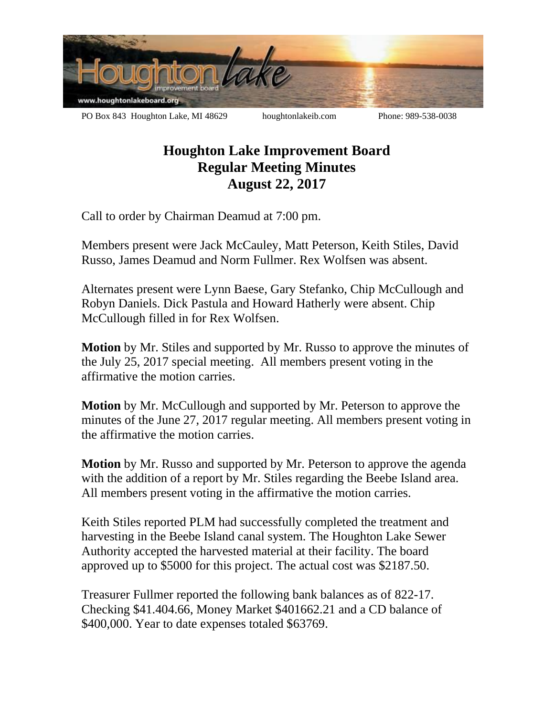

## **Houghton Lake Improvement Board Regular Meeting Minutes August 22, 2017**

Call to order by Chairman Deamud at 7:00 pm.

Members present were Jack McCauley, Matt Peterson, Keith Stiles, David Russo, James Deamud and Norm Fullmer. Rex Wolfsen was absent.

Alternates present were Lynn Baese, Gary Stefanko, Chip McCullough and Robyn Daniels. Dick Pastula and Howard Hatherly were absent. Chip McCullough filled in for Rex Wolfsen.

**Motion** by Mr. Stiles and supported by Mr. Russo to approve the minutes of the July 25, 2017 special meeting. All members present voting in the affirmative the motion carries.

**Motion** by Mr. McCullough and supported by Mr. Peterson to approve the minutes of the June 27, 2017 regular meeting. All members present voting in the affirmative the motion carries.

**Motion** by Mr. Russo and supported by Mr. Peterson to approve the agenda with the addition of a report by Mr. Stiles regarding the Beebe Island area. All members present voting in the affirmative the motion carries.

Keith Stiles reported PLM had successfully completed the treatment and harvesting in the Beebe Island canal system. The Houghton Lake Sewer Authority accepted the harvested material at their facility. The board approved up to \$5000 for this project. The actual cost was \$2187.50.

Treasurer Fullmer reported the following bank balances as of 822-17. Checking \$41.404.66, Money Market \$401662.21 and a CD balance of \$400,000. Year to date expenses totaled \$63769.